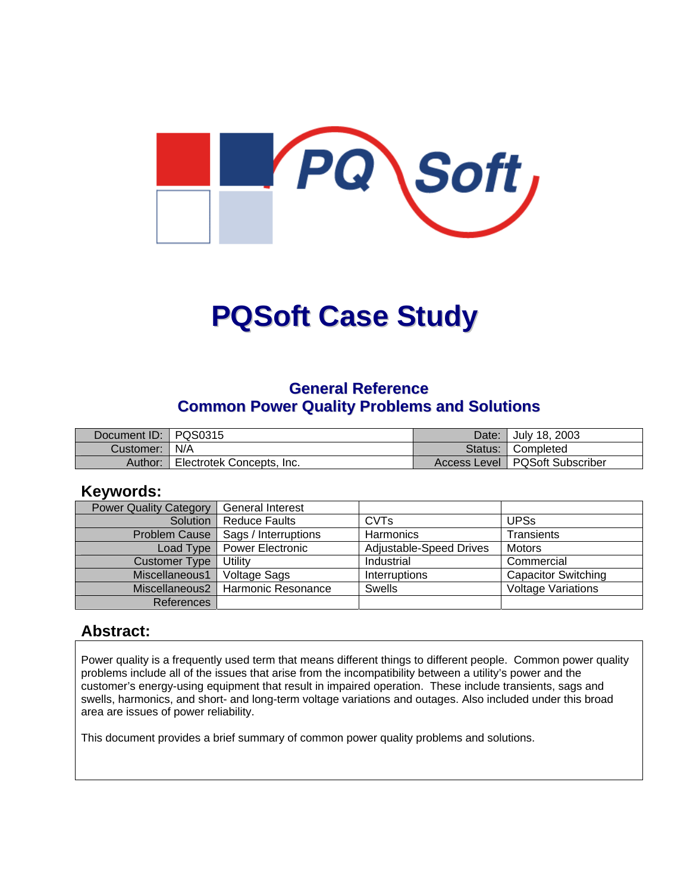

# **PQSoft Case Study**

## **General Reference Common Power Quality Problems and Solutions**

| Document ID: PQS0315 |                           | Date: July 18, 2003              |
|----------------------|---------------------------|----------------------------------|
| Customer:   N/A      |                           | Status: Completed                |
| Author:              | Electrotek Concepts, Inc. | Access Level   PQSoft Subscriber |

### **Keywords:**

| <b>Power Quality Category</b> | <b>General Interest</b> |                         |                            |
|-------------------------------|-------------------------|-------------------------|----------------------------|
| Solution                      | <b>Reduce Faults</b>    | <b>CVT<sub>s</sub></b>  | <b>UPSs</b>                |
| <b>Problem Cause</b>          | Sags / Interruptions    | Harmonics               | <b>Transients</b>          |
| Load Type                     | <b>Power Electronic</b> | Adjustable-Speed Drives | <b>Motors</b>              |
| <b>Customer Type</b>          | Utility                 | Industrial              | Commercial                 |
| Miscellaneous1                | Voltage Sags            | Interruptions           | <b>Capacitor Switching</b> |
| Miscellaneous2                | Harmonic Resonance      | <b>Swells</b>           | <b>Voltage Variations</b>  |
| <b>References</b>             |                         |                         |                            |

## **Abstract:**

Power quality is a frequently used term that means different things to different people. Common power quality problems include all of the issues that arise from the incompatibility between a utility's power and the customer's energy-using equipment that result in impaired operation. These include transients, sags and swells, harmonics, and short- and long-term voltage variations and outages. Also included under this broad area are issues of power reliability.

This document provides a brief summary of common power quality problems and solutions.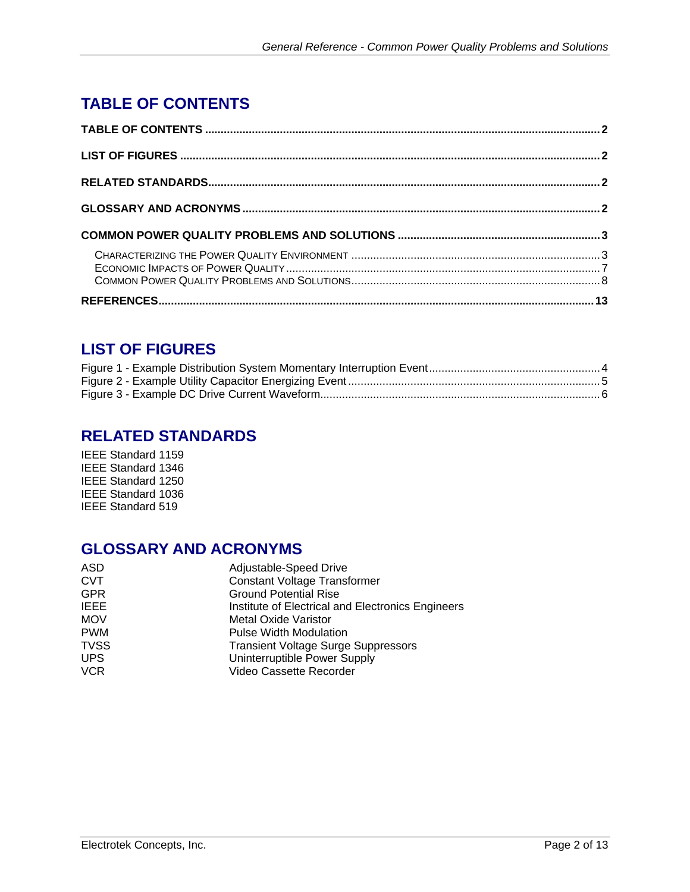# <span id="page-1-0"></span>**TABLE OF CONTENTS**

# **LIST OF FIGURES**

## **RELATED STANDARDS**

IEEE Standard 1159 IEEE Standard 1346 IEEE Standard 1250 IEEE Standard 1036 IEEE Standard 519

## **GLOSSARY AND ACRONYMS**

| ASD         | Adjustable-Speed Drive                            |
|-------------|---------------------------------------------------|
| <b>CVT</b>  | <b>Constant Voltage Transformer</b>               |
| <b>GPR</b>  | <b>Ground Potential Rise</b>                      |
| <b>IEEE</b> | Institute of Electrical and Electronics Engineers |
| <b>MOV</b>  | <b>Metal Oxide Varistor</b>                       |
| <b>PWM</b>  | <b>Pulse Width Modulation</b>                     |
| <b>TVSS</b> | <b>Transient Voltage Surge Suppressors</b>        |
| <b>UPS</b>  | Uninterruptible Power Supply                      |
| <b>VCR</b>  | Video Cassette Recorder                           |
|             |                                                   |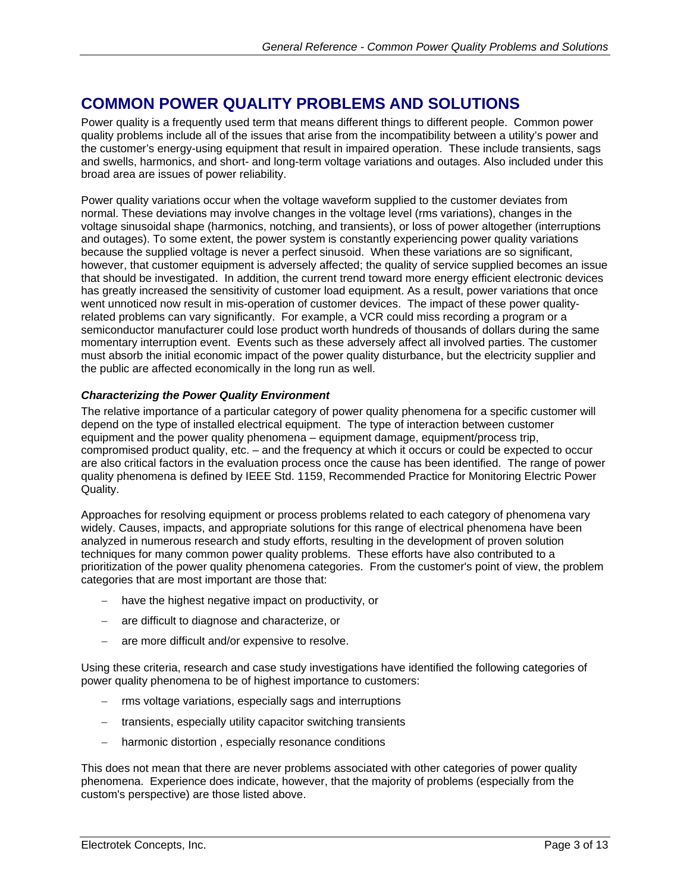## <span id="page-2-0"></span>**COMMON POWER QUALITY PROBLEMS AND SOLUTIONS**

Power quality is a frequently used term that means different things to different people. Common power quality problems include all of the issues that arise from the incompatibility between a utility's power and the customer's energy-using equipment that result in impaired operation. These include transients, sags and swells, harmonics, and short- and long-term voltage variations and outages. Also included under this broad area are issues of power reliability.

Power quality variations occur when the voltage waveform supplied to the customer deviates from normal. These deviations may involve changes in the voltage level (rms variations), changes in the voltage sinusoidal shape (harmonics, notching, and transients), or loss of power altogether (interruptions and outages). To some extent, the power system is constantly experiencing power quality variations because the supplied voltage is never a perfect sinusoid. When these variations are so significant, however, that customer equipment is adversely affected; the quality of service supplied becomes an issue that should be investigated. In addition, the current trend toward more energy efficient electronic devices has greatly increased the sensitivity of customer load equipment. As a result, power variations that once went unnoticed now result in mis-operation of customer devices. The impact of these power qualityrelated problems can vary significantly. For example, a VCR could miss recording a program or a semiconductor manufacturer could lose product worth hundreds of thousands of dollars during the same momentary interruption event. Events such as these adversely affect all involved parties. The customer must absorb the initial economic impact of the power quality disturbance, but the electricity supplier and the public are affected economically in the long run as well.

#### *Characterizing the Power Quality Environment*

The relative importance of a particular category of power quality phenomena for a specific customer will depend on the type of installed electrical equipment. The type of interaction between customer equipment and the power quality phenomena – equipment damage, equipment/process trip, compromised product quality, etc. – and the frequency at which it occurs or could be expected to occur are also critical factors in the evaluation process once the cause has been identified. The range of power quality phenomena is defined by IEEE Std. 1159, Recommended Practice for Monitoring Electric Power Quality.

Approaches for resolving equipment or process problems related to each category of phenomena vary widely. Causes, impacts, and appropriate solutions for this range of electrical phenomena have been analyzed in numerous research and study efforts, resulting in the development of proven solution techniques for many common power quality problems. These efforts have also contributed to a prioritization of the power quality phenomena categories. From the customer's point of view, the problem categories that are most important are those that:

- − have the highest negative impact on productivity, or
- − are difficult to diagnose and characterize, or
- − are more difficult and/or expensive to resolve.

Using these criteria, research and case study investigations have identified the following categories of power quality phenomena to be of highest importance to customers:

- rms voltage variations, especially sags and interruptions
- − transients, especially utility capacitor switching transients
- − harmonic distortion , especially resonance conditions

This does not mean that there are never problems associated with other categories of power quality phenomena. Experience does indicate, however, that the majority of problems (especially from the custom's perspective) are those listed above.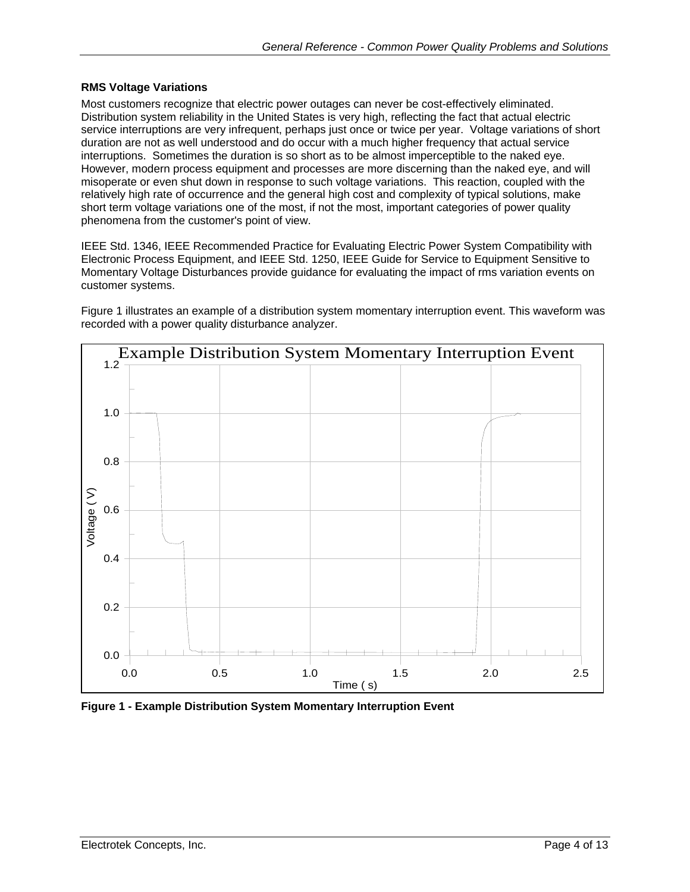#### <span id="page-3-0"></span>**RMS Voltage Variations**

Most customers recognize that electric power outages can never be cost-effectively eliminated. Distribution system reliability in the United States is very high, reflecting the fact that actual electric service interruptions are very infrequent, perhaps just once or twice per year. Voltage variations of short duration are not as well understood and do occur with a much higher frequency that actual service interruptions. Sometimes the duration is so short as to be almost imperceptible to the naked eye. However, modern process equipment and processes are more discerning than the naked eye, and will misoperate or even shut down in response to such voltage variations. This reaction, coupled with the relatively high rate of occurrence and the general high cost and complexity of typical solutions, make short term voltage variations one of the most, if not the most, important categories of power quality phenomena from the customer's point of view.

IEEE Std. 1346, IEEE Recommended Practice for Evaluating Electric Power System Compatibility with Electronic Process Equipment, and IEEE Std. 1250, IEEE Guide for Service to Equipment Sensitive to Momentary Voltage Disturbances provide guidance for evaluating the impact of rms variation events on customer systems.

[Figure 1](#page-3-1) illustrates an example of a distribution system momentary interruption event. This waveform was recorded with a power quality disturbance analyzer.

<span id="page-3-1"></span>

**Figure 1 - Example Distribution System Momentary Interruption Event**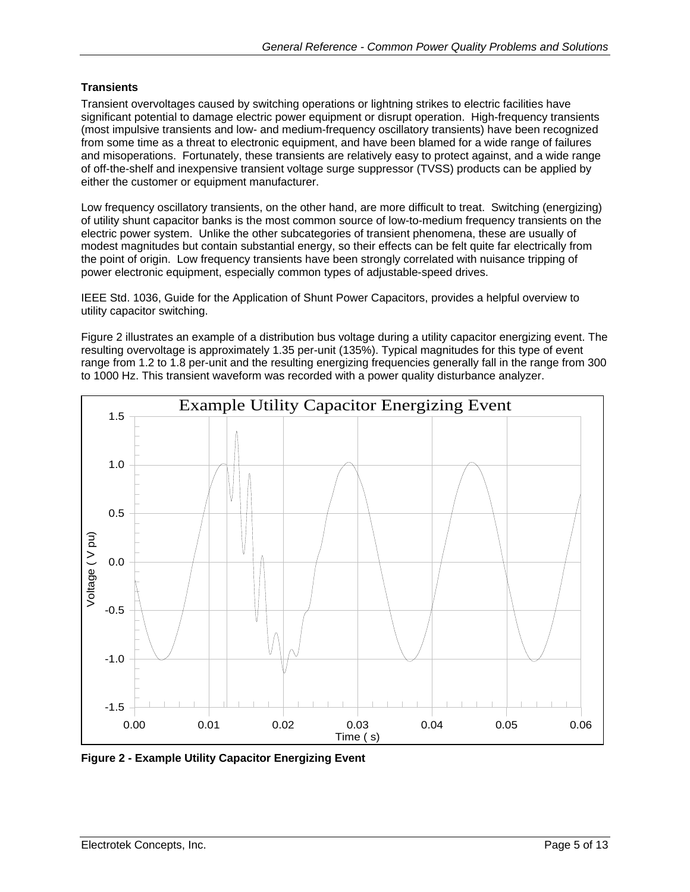#### <span id="page-4-0"></span>**Transients**

Transient overvoltages caused by switching operations or lightning strikes to electric facilities have significant potential to damage electric power equipment or disrupt operation. High-frequency transients (most impulsive transients and low- and medium-frequency oscillatory transients) have been recognized from some time as a threat to electronic equipment, and have been blamed for a wide range of failures and misoperations. Fortunately, these transients are relatively easy to protect against, and a wide range of off-the-shelf and inexpensive transient voltage surge suppressor (TVSS) products can be applied by either the customer or equipment manufacturer.

Low frequency oscillatory transients, on the other hand, are more difficult to treat. Switching (energizing) of utility shunt capacitor banks is the most common source of low-to-medium frequency transients on the electric power system. Unlike the other subcategories of transient phenomena, these are usually of modest magnitudes but contain substantial energy, so their effects can be felt quite far electrically from the point of origin. Low frequency transients have been strongly correlated with nuisance tripping of power electronic equipment, especially common types of adjustable-speed drives.

IEEE Std. 1036, Guide for the Application of Shunt Power Capacitors, provides a helpful overview to utility capacitor switching.

[Figure 2](#page-4-1) illustrates an example of a distribution bus voltage during a utility capacitor energizing event. The resulting overvoltage is approximately 1.35 per-unit (135%). Typical magnitudes for this type of event range from 1.2 to 1.8 per-unit and the resulting energizing frequencies generally fall in the range from 300 to 1000 Hz. This transient waveform was recorded with a power quality disturbance analyzer.

<span id="page-4-1"></span>

**Figure 2 - Example Utility Capacitor Energizing Event**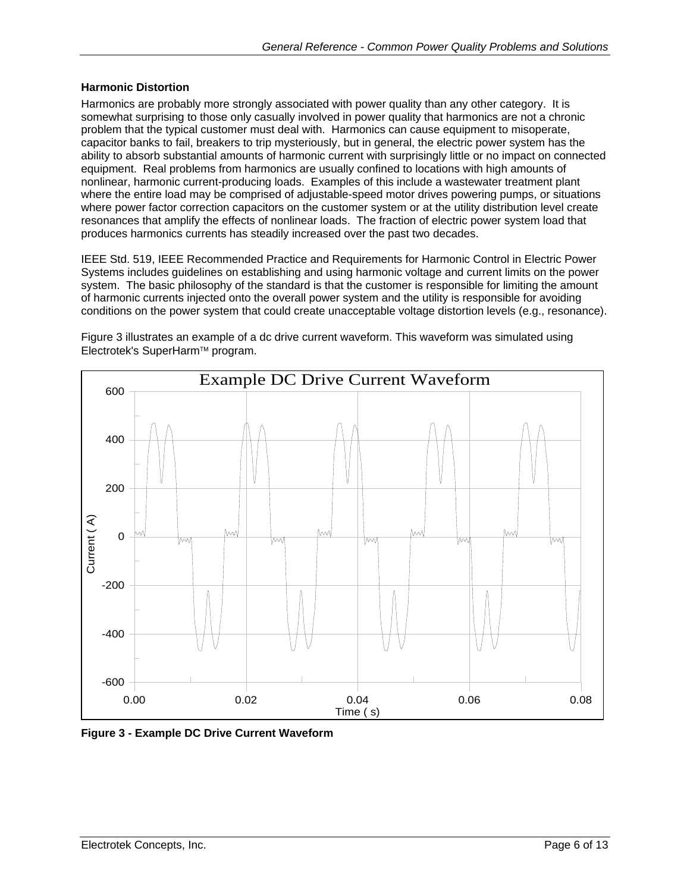#### <span id="page-5-0"></span>**Harmonic Distortion**

Harmonics are probably more strongly associated with power quality than any other category. It is somewhat surprising to those only casually involved in power quality that harmonics are not a chronic problem that the typical customer must deal with. Harmonics can cause equipment to misoperate, capacitor banks to fail, breakers to trip mysteriously, but in general, the electric power system has the ability to absorb substantial amounts of harmonic current with surprisingly little or no impact on connected equipment. Real problems from harmonics are usually confined to locations with high amounts of nonlinear, harmonic current-producing loads. Examples of this include a wastewater treatment plant where the entire load may be comprised of adjustable-speed motor drives powering pumps, or situations where power factor correction capacitors on the customer system or at the utility distribution level create resonances that amplify the effects of nonlinear loads. The fraction of electric power system load that produces harmonics currents has steadily increased over the past two decades.

IEEE Std. 519, IEEE Recommended Practice and Requirements for Harmonic Control in Electric Power Systems includes guidelines on establishing and using harmonic voltage and current limits on the power system. The basic philosophy of the standard is that the customer is responsible for limiting the amount of harmonic currents injected onto the overall power system and the utility is responsible for avoiding conditions on the power system that could create unacceptable voltage distortion levels (e.g., resonance).

[Figure 3](#page-5-1) illustrates an example of a dc drive current waveform. This waveform was simulated using Electrotek's SuperHarm™ program.

<span id="page-5-1"></span>

**Figure 3 - Example DC Drive Current Waveform**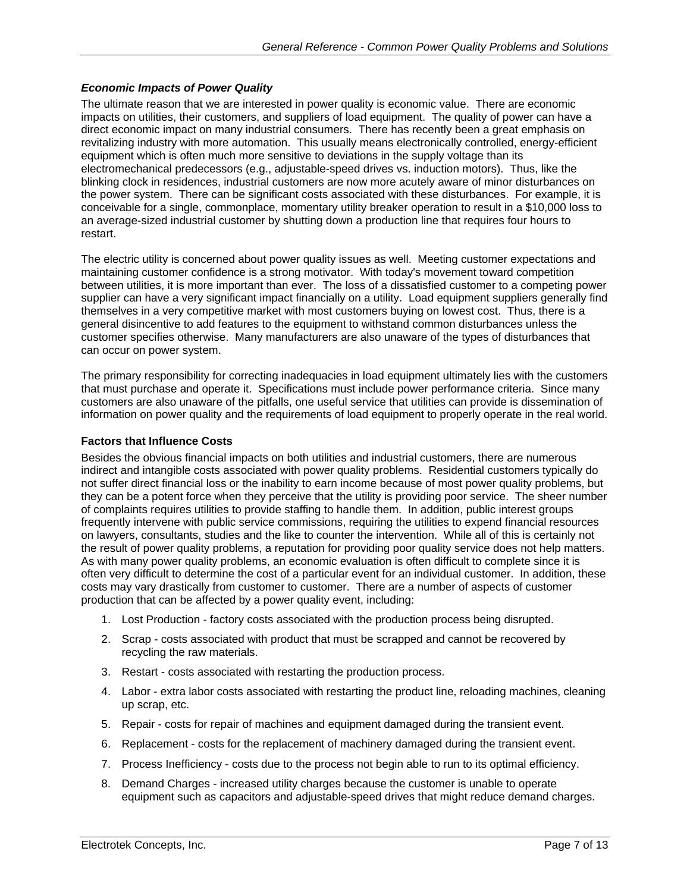#### <span id="page-6-0"></span>*Economic Impacts of Power Quality*

The ultimate reason that we are interested in power quality is economic value. There are economic impacts on utilities, their customers, and suppliers of load equipment. The quality of power can have a direct economic impact on many industrial consumers. There has recently been a great emphasis on revitalizing industry with more automation. This usually means electronically controlled, energy-efficient equipment which is often much more sensitive to deviations in the supply voltage than its electromechanical predecessors (e.g., adjustable-speed drives vs. induction motors). Thus, like the blinking clock in residences, industrial customers are now more acutely aware of minor disturbances on the power system. There can be significant costs associated with these disturbances. For example, it is conceivable for a single, commonplace, momentary utility breaker operation to result in a \$10,000 loss to an average-sized industrial customer by shutting down a production line that requires four hours to restart.

The electric utility is concerned about power quality issues as well. Meeting customer expectations and maintaining customer confidence is a strong motivator. With today's movement toward competition between utilities, it is more important than ever. The loss of a dissatisfied customer to a competing power supplier can have a very significant impact financially on a utility. Load equipment suppliers generally find themselves in a very competitive market with most customers buying on lowest cost. Thus, there is a general disincentive to add features to the equipment to withstand common disturbances unless the customer specifies otherwise. Many manufacturers are also unaware of the types of disturbances that can occur on power system.

The primary responsibility for correcting inadequacies in load equipment ultimately lies with the customers that must purchase and operate it. Specifications must include power performance criteria. Since many customers are also unaware of the pitfalls, one useful service that utilities can provide is dissemination of information on power quality and the requirements of load equipment to properly operate in the real world.

#### **Factors that Influence Costs**

Besides the obvious financial impacts on both utilities and industrial customers, there are numerous indirect and intangible costs associated with power quality problems. Residential customers typically do not suffer direct financial loss or the inability to earn income because of most power quality problems, but they can be a potent force when they perceive that the utility is providing poor service. The sheer number of complaints requires utilities to provide staffing to handle them. In addition, public interest groups frequently intervene with public service commissions, requiring the utilities to expend financial resources on lawyers, consultants, studies and the like to counter the intervention. While all of this is certainly not the result of power quality problems, a reputation for providing poor quality service does not help matters. As with many power quality problems, an economic evaluation is often difficult to complete since it is often very difficult to determine the cost of a particular event for an individual customer. In addition, these costs may vary drastically from customer to customer. There are a number of aspects of customer production that can be affected by a power quality event, including:

- 1. Lost Production factory costs associated with the production process being disrupted.
- 2. Scrap costs associated with product that must be scrapped and cannot be recovered by recycling the raw materials.
- 3. Restart costs associated with restarting the production process.
- 4. Labor extra labor costs associated with restarting the product line, reloading machines, cleaning up scrap, etc.
- 5. Repair costs for repair of machines and equipment damaged during the transient event.
- 6. Replacement costs for the replacement of machinery damaged during the transient event.
- 7. Process Inefficiency costs due to the process not begin able to run to its optimal efficiency.
- 8. Demand Charges increased utility charges because the customer is unable to operate equipment such as capacitors and adjustable-speed drives that might reduce demand charges.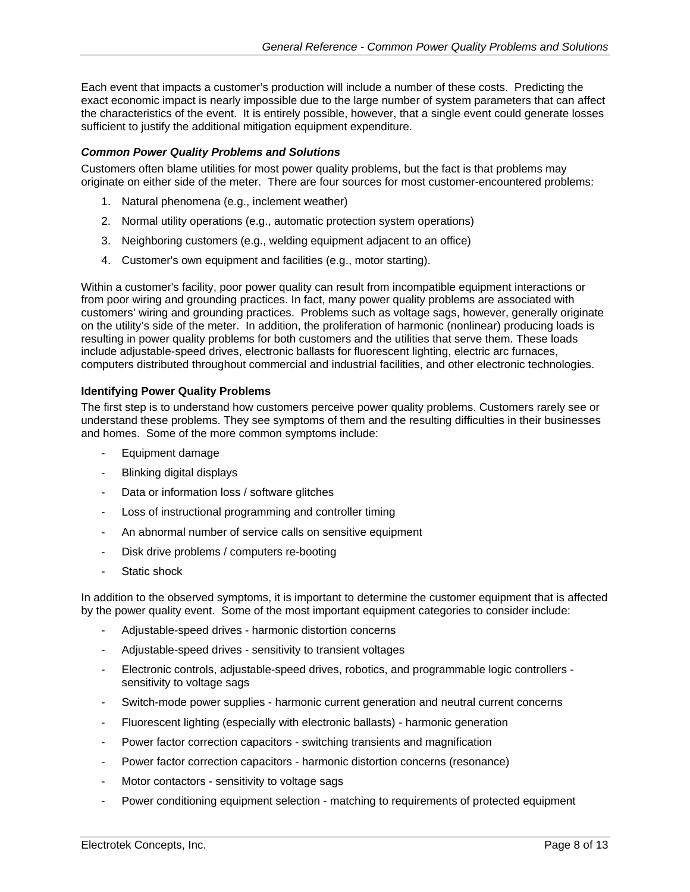<span id="page-7-0"></span>Each event that impacts a customer's production will include a number of these costs. Predicting the exact economic impact is nearly impossible due to the large number of system parameters that can affect the characteristics of the event. It is entirely possible, however, that a single event could generate losses sufficient to justify the additional mitigation equipment expenditure.

#### *Common Power Quality Problems and Solutions*

Customers often blame utilities for most power quality problems, but the fact is that problems may originate on either side of the meter. There are four sources for most customer-encountered problems:

- 1. Natural phenomena (e.g., inclement weather)
- 2. Normal utility operations (e.g., automatic protection system operations)
- 3. Neighboring customers (e.g., welding equipment adjacent to an office)
- 4. Customer's own equipment and facilities (e.g., motor starting).

Within a customer's facility, poor power quality can result from incompatible equipment interactions or from poor wiring and grounding practices. In fact, many power quality problems are associated with customers' wiring and grounding practices. Problems such as voltage sags, however, generally originate on the utility's side of the meter. In addition, the proliferation of harmonic (nonlinear) producing loads is resulting in power quality problems for both customers and the utilities that serve them. These loads include adjustable-speed drives, electronic ballasts for fluorescent lighting, electric arc furnaces, computers distributed throughout commercial and industrial facilities, and other electronic technologies.

#### **Identifying Power Quality Problems**

The first step is to understand how customers perceive power quality problems. Customers rarely see or understand these problems. They see symptoms of them and the resulting difficulties in their businesses and homes. Some of the more common symptoms include:

- Equipment damage
- Blinking digital displays
- Data or information loss / software glitches
- Loss of instructional programming and controller timing
- An abnormal number of service calls on sensitive equipment
- Disk drive problems / computers re-booting
- Static shock

In addition to the observed symptoms, it is important to determine the customer equipment that is affected by the power quality event. Some of the most important equipment categories to consider include:

- Adjustable-speed drives harmonic distortion concerns
- Adjustable-speed drives sensitivity to transient voltages
- Electronic controls, adjustable-speed drives, robotics, and programmable logic controllers sensitivity to voltage sags
- Switch-mode power supplies harmonic current generation and neutral current concerns
- Fluorescent lighting (especially with electronic ballasts) harmonic generation
- Power factor correction capacitors switching transients and magnification
- Power factor correction capacitors harmonic distortion concerns (resonance)
- Motor contactors sensitivity to voltage sags
- Power conditioning equipment selection matching to requirements of protected equipment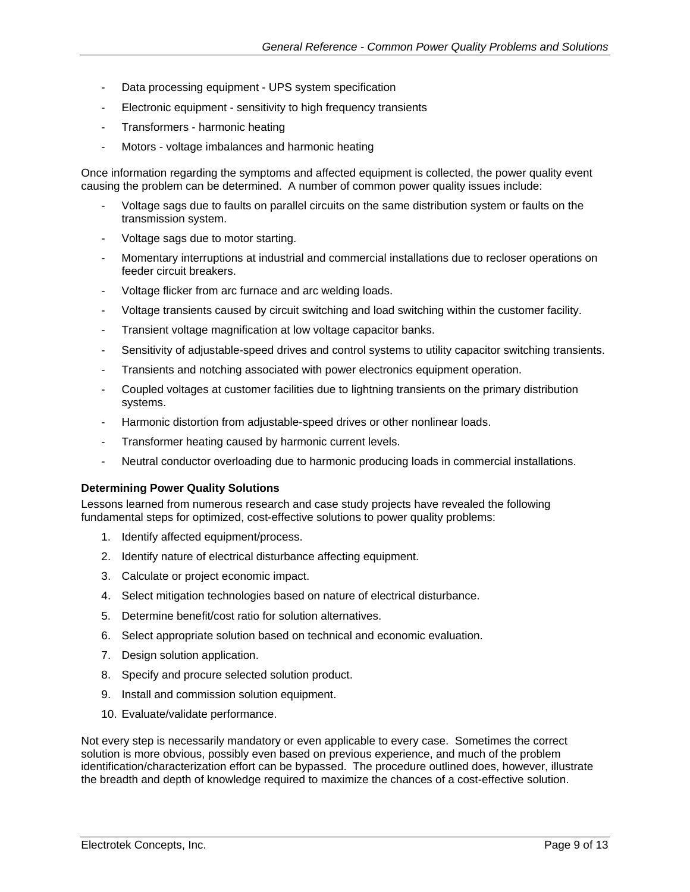- Data processing equipment UPS system specification
- Electronic equipment sensitivity to high frequency transients
- Transformers harmonic heating
- Motors voltage imbalances and harmonic heating

Once information regarding the symptoms and affected equipment is collected, the power quality event causing the problem can be determined. A number of common power quality issues include:

- Voltage sags due to faults on parallel circuits on the same distribution system or faults on the transmission system.
- Voltage sags due to motor starting.
- Momentary interruptions at industrial and commercial installations due to recloser operations on feeder circuit breakers.
- Voltage flicker from arc furnace and arc welding loads.
- Voltage transients caused by circuit switching and load switching within the customer facility.
- Transient voltage magnification at low voltage capacitor banks.
- Sensitivity of adjustable-speed drives and control systems to utility capacitor switching transients.
- Transients and notching associated with power electronics equipment operation.
- Coupled voltages at customer facilities due to lightning transients on the primary distribution systems.
- Harmonic distortion from adjustable-speed drives or other nonlinear loads.
- Transformer heating caused by harmonic current levels.
- Neutral conductor overloading due to harmonic producing loads in commercial installations.

#### **Determining Power Quality Solutions**

Lessons learned from numerous research and case study projects have revealed the following fundamental steps for optimized, cost-effective solutions to power quality problems:

- 1. Identify affected equipment/process.
- 2. Identify nature of electrical disturbance affecting equipment.
- 3. Calculate or project economic impact.
- 4. Select mitigation technologies based on nature of electrical disturbance.
- 5. Determine benefit/cost ratio for solution alternatives.
- 6. Select appropriate solution based on technical and economic evaluation.
- 7. Design solution application.
- 8. Specify and procure selected solution product.
- 9. Install and commission solution equipment.
- 10. Evaluate/validate performance.

Not every step is necessarily mandatory or even applicable to every case. Sometimes the correct solution is more obvious, possibly even based on previous experience, and much of the problem identification/characterization effort can be bypassed. The procedure outlined does, however, illustrate the breadth and depth of knowledge required to maximize the chances of a cost-effective solution.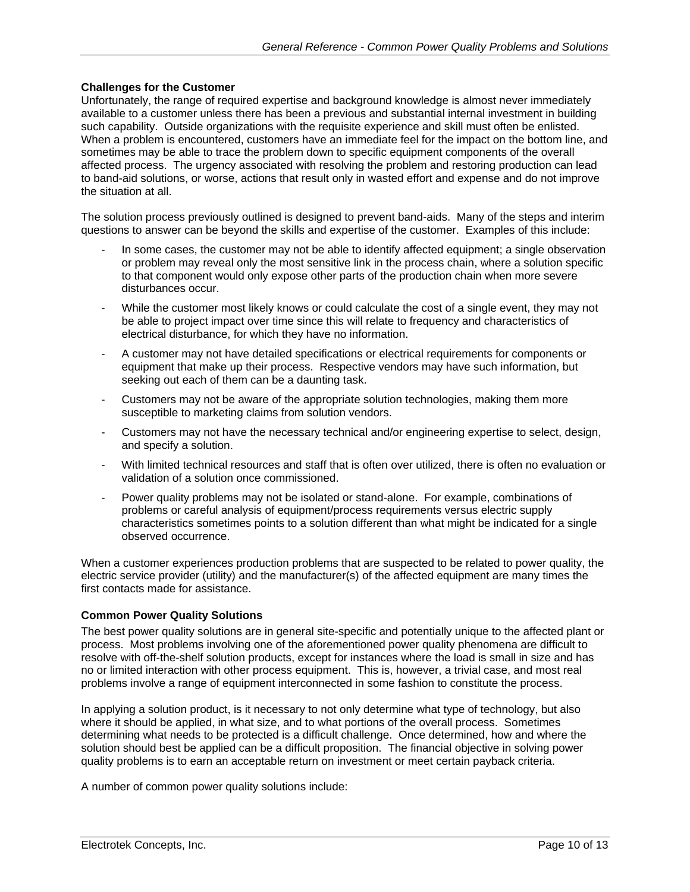#### **Challenges for the Customer**

Unfortunately, the range of required expertise and background knowledge is almost never immediately available to a customer unless there has been a previous and substantial internal investment in building such capability. Outside organizations with the requisite experience and skill must often be enlisted. When a problem is encountered, customers have an immediate feel for the impact on the bottom line, and sometimes may be able to trace the problem down to specific equipment components of the overall affected process. The urgency associated with resolving the problem and restoring production can lead to band-aid solutions, or worse, actions that result only in wasted effort and expense and do not improve the situation at all.

The solution process previously outlined is designed to prevent band-aids. Many of the steps and interim questions to answer can be beyond the skills and expertise of the customer. Examples of this include:

- In some cases, the customer may not be able to identify affected equipment; a single observation or problem may reveal only the most sensitive link in the process chain, where a solution specific to that component would only expose other parts of the production chain when more severe disturbances occur.
- While the customer most likely knows or could calculate the cost of a single event, they may not be able to project impact over time since this will relate to frequency and characteristics of electrical disturbance, for which they have no information.
- A customer may not have detailed specifications or electrical requirements for components or equipment that make up their process. Respective vendors may have such information, but seeking out each of them can be a daunting task.
- Customers may not be aware of the appropriate solution technologies, making them more susceptible to marketing claims from solution vendors.
- Customers may not have the necessary technical and/or engineering expertise to select, design, and specify a solution.
- With limited technical resources and staff that is often over utilized, there is often no evaluation or validation of a solution once commissioned.
- Power quality problems may not be isolated or stand-alone. For example, combinations of problems or careful analysis of equipment/process requirements versus electric supply characteristics sometimes points to a solution different than what might be indicated for a single observed occurrence.

When a customer experiences production problems that are suspected to be related to power quality, the electric service provider (utility) and the manufacturer(s) of the affected equipment are many times the first contacts made for assistance.

#### **Common Power Quality Solutions**

The best power quality solutions are in general site-specific and potentially unique to the affected plant or process. Most problems involving one of the aforementioned power quality phenomena are difficult to resolve with off-the-shelf solution products, except for instances where the load is small in size and has no or limited interaction with other process equipment. This is, however, a trivial case, and most real problems involve a range of equipment interconnected in some fashion to constitute the process.

In applying a solution product, is it necessary to not only determine what type of technology, but also where it should be applied, in what size, and to what portions of the overall process. Sometimes determining what needs to be protected is a difficult challenge. Once determined, how and where the solution should best be applied can be a difficult proposition. The financial objective in solving power quality problems is to earn an acceptable return on investment or meet certain payback criteria.

A number of common power quality solutions include: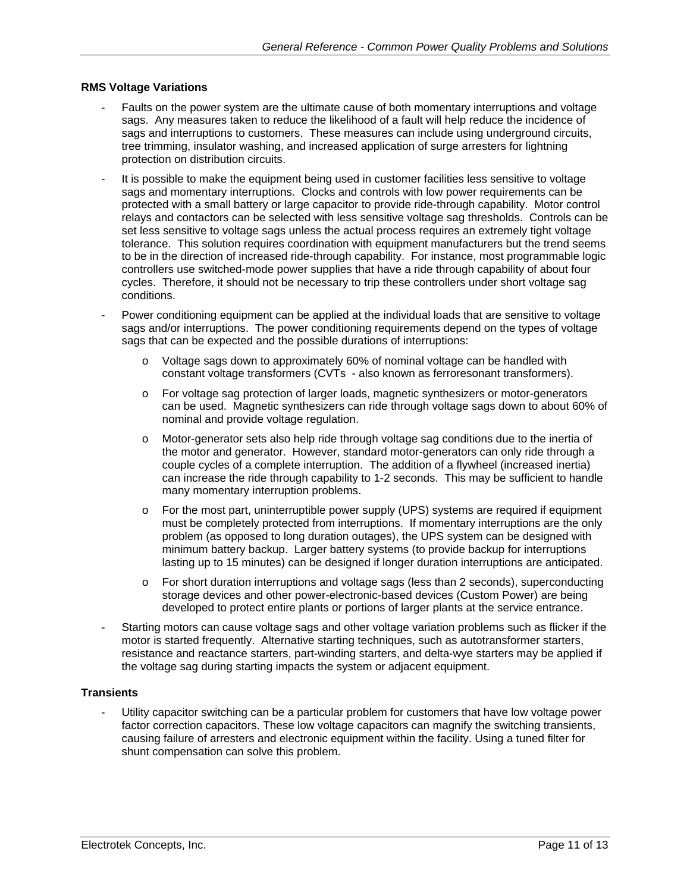#### **RMS Voltage Variations**

- Faults on the power system are the ultimate cause of both momentary interruptions and voltage sags. Any measures taken to reduce the likelihood of a fault will help reduce the incidence of sags and interruptions to customers. These measures can include using underground circuits, tree trimming, insulator washing, and increased application of surge arresters for lightning protection on distribution circuits.
- It is possible to make the equipment being used in customer facilities less sensitive to voltage sags and momentary interruptions. Clocks and controls with low power requirements can be protected with a small battery or large capacitor to provide ride-through capability. Motor control relays and contactors can be selected with less sensitive voltage sag thresholds. Controls can be set less sensitive to voltage sags unless the actual process requires an extremely tight voltage tolerance. This solution requires coordination with equipment manufacturers but the trend seems to be in the direction of increased ride-through capability. For instance, most programmable logic controllers use switched-mode power supplies that have a ride through capability of about four cycles. Therefore, it should not be necessary to trip these controllers under short voltage sag conditions.
- Power conditioning equipment can be applied at the individual loads that are sensitive to voltage sags and/or interruptions. The power conditioning requirements depend on the types of voltage sags that can be expected and the possible durations of interruptions:
	- o Voltage sags down to approximately 60% of nominal voltage can be handled with constant voltage transformers (CVTs - also known as ferroresonant transformers).
	- o For voltage sag protection of larger loads, magnetic synthesizers or motor-generators can be used. Magnetic synthesizers can ride through voltage sags down to about 60% of nominal and provide voltage regulation.
	- o Motor-generator sets also help ride through voltage sag conditions due to the inertia of the motor and generator. However, standard motor-generators can only ride through a couple cycles of a complete interruption. The addition of a flywheel (increased inertia) can increase the ride through capability to 1-2 seconds. This may be sufficient to handle many momentary interruption problems.
	- o For the most part, uninterruptible power supply (UPS) systems are required if equipment must be completely protected from interruptions. If momentary interruptions are the only problem (as opposed to long duration outages), the UPS system can be designed with minimum battery backup. Larger battery systems (to provide backup for interruptions lasting up to 15 minutes) can be designed if longer duration interruptions are anticipated.
	- o For short duration interruptions and voltage sags (less than 2 seconds), superconducting storage devices and other power-electronic-based devices (Custom Power) are being developed to protect entire plants or portions of larger plants at the service entrance.
- Starting motors can cause voltage sags and other voltage variation problems such as flicker if the motor is started frequently. Alternative starting techniques, such as autotransformer starters, resistance and reactance starters, part-winding starters, and delta-wye starters may be applied if the voltage sag during starting impacts the system or adjacent equipment.

#### **Transients**

Utility capacitor switching can be a particular problem for customers that have low voltage power factor correction capacitors. These low voltage capacitors can magnify the switching transients, causing failure of arresters and electronic equipment within the facility. Using a tuned filter for shunt compensation can solve this problem.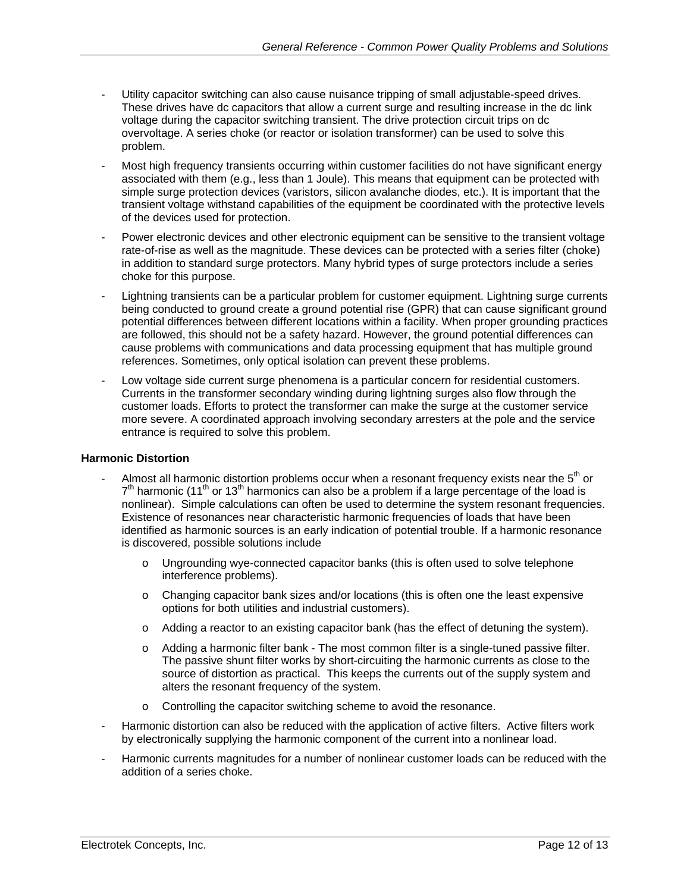- Utility capacitor switching can also cause nuisance tripping of small adjustable-speed drives. These drives have dc capacitors that allow a current surge and resulting increase in the dc link voltage during the capacitor switching transient. The drive protection circuit trips on dc overvoltage. A series choke (or reactor or isolation transformer) can be used to solve this problem.
- Most high frequency transients occurring within customer facilities do not have significant energy associated with them (e.g., less than 1 Joule). This means that equipment can be protected with simple surge protection devices (varistors, silicon avalanche diodes, etc.). It is important that the transient voltage withstand capabilities of the equipment be coordinated with the protective levels of the devices used for protection.
- Power electronic devices and other electronic equipment can be sensitive to the transient voltage rate-of-rise as well as the magnitude. These devices can be protected with a series filter (choke) in addition to standard surge protectors. Many hybrid types of surge protectors include a series choke for this purpose.
- Lightning transients can be a particular problem for customer equipment. Lightning surge currents being conducted to ground create a ground potential rise (GPR) that can cause significant ground potential differences between different locations within a facility. When proper grounding practices are followed, this should not be a safety hazard. However, the ground potential differences can cause problems with communications and data processing equipment that has multiple ground references. Sometimes, only optical isolation can prevent these problems.
- Low voltage side current surge phenomena is a particular concern for residential customers. Currents in the transformer secondary winding during lightning surges also flow through the customer loads. Efforts to protect the transformer can make the surge at the customer service more severe. A coordinated approach involving secondary arresters at the pole and the service entrance is required to solve this problem.

#### **Harmonic Distortion**

- Almost all harmonic distortion problems occur when a resonant frequency exists near the  $5<sup>th</sup>$  or  $7<sup>th</sup>$  harmonic (11<sup>th</sup> or 13<sup>th</sup> harmonics can also be a problem if a large percentage of the load is nonlinear). Simple calculations can often be used to determine the system resonant frequencies. Existence of resonances near characteristic harmonic frequencies of loads that have been identified as harmonic sources is an early indication of potential trouble. If a harmonic resonance is discovered, possible solutions include
	- o Ungrounding wye-connected capacitor banks (this is often used to solve telephone interference problems).
	- o Changing capacitor bank sizes and/or locations (this is often one the least expensive options for both utilities and industrial customers).
	- o Adding a reactor to an existing capacitor bank (has the effect of detuning the system).
	- o Adding a harmonic filter bank The most common filter is a single-tuned passive filter. The passive shunt filter works by short-circuiting the harmonic currents as close to the source of distortion as practical. This keeps the currents out of the supply system and alters the resonant frequency of the system.
	- o Controlling the capacitor switching scheme to avoid the resonance.
- Harmonic distortion can also be reduced with the application of active filters. Active filters work by electronically supplying the harmonic component of the current into a nonlinear load.
- Harmonic currents magnitudes for a number of nonlinear customer loads can be reduced with the addition of a series choke.